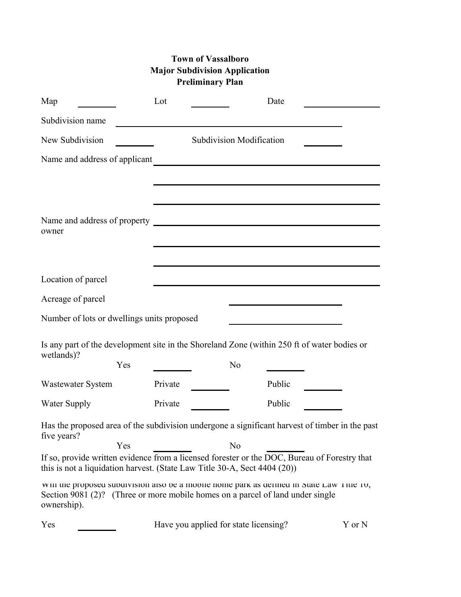## **Town of Vassalboro Major Subdivision Application Preliminary Plan**

| Map                                                                       | Lot     |                | Date                                                                                                                                                                        |        |
|---------------------------------------------------------------------------|---------|----------------|-----------------------------------------------------------------------------------------------------------------------------------------------------------------------------|--------|
| Subdivision name                                                          |         |                |                                                                                                                                                                             |        |
| New Subdivision                                                           |         |                | <b>Subdivision Modification</b>                                                                                                                                             |        |
| Name and address of applicant                                             |         |                |                                                                                                                                                                             |        |
|                                                                           |         |                |                                                                                                                                                                             |        |
|                                                                           |         |                |                                                                                                                                                                             |        |
| owner                                                                     |         |                |                                                                                                                                                                             |        |
|                                                                           |         |                |                                                                                                                                                                             |        |
| Location of parcel                                                        |         |                |                                                                                                                                                                             |        |
| Acreage of parcel                                                         |         |                |                                                                                                                                                                             |        |
| Number of lots or dwellings units proposed                                |         |                |                                                                                                                                                                             |        |
|                                                                           |         |                |                                                                                                                                                                             |        |
| wetlands)?                                                                |         |                | Is any part of the development site in the Shoreland Zone (within 250 ft of water bodies or                                                                                 |        |
|                                                                           | Yes     | N <sub>0</sub> |                                                                                                                                                                             |        |
| <b>Wastewater System</b>                                                  | Private |                | Public                                                                                                                                                                      |        |
| <b>Water Supply</b>                                                       | Private |                | Public                                                                                                                                                                      |        |
| five years?                                                               |         |                | Has the proposed area of the subdivision undergone a significant harvest of timber in the past                                                                              |        |
| this is not a liquidation harvest. (State Law Title 30-A, Sect 4404 (20)) | Yes     | N <sub>0</sub> | If so, provide written evidence from a licensed forester or the DOC, Bureau of Forestry that                                                                                |        |
| ownership).                                                               |         |                | win the proposed subdivision also be a mobile nome park as defined in State Law Title To,<br>Section 9081 (2)? (Three or more mobile homes on a parcel of land under single |        |
| Yes                                                                       |         |                | Have you applied for state licensing?                                                                                                                                       | Y or N |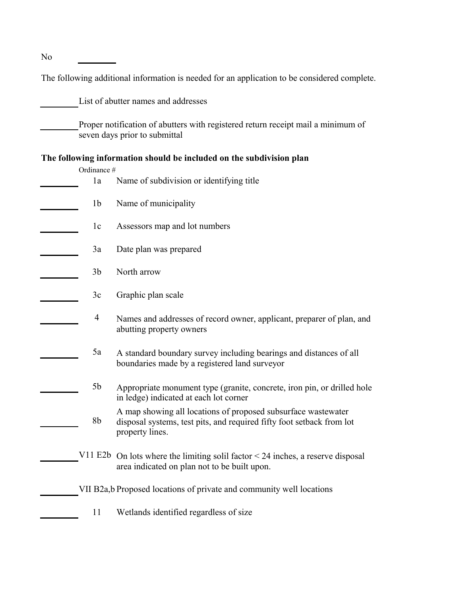No

The following additional information is needed for an application to be considered complete.

List of abutter names and addresses

Proper notification of abutters with registered return receipt mail a minimum of seven days prior to submittal

## **The following information should be included on the subdivision plan**

| Ordinance #    |                                                                                                                                                           |
|----------------|-----------------------------------------------------------------------------------------------------------------------------------------------------------|
| 1a             | Name of subdivision or identifying title                                                                                                                  |
| 1 <sub>b</sub> | Name of municipality                                                                                                                                      |
| 1 <sub>c</sub> | Assessors map and lot numbers                                                                                                                             |
| 3a             | Date plan was prepared                                                                                                                                    |
| 3 <sub>b</sub> | North arrow                                                                                                                                               |
| 3c             | Graphic plan scale                                                                                                                                        |
| $\overline{4}$ | Names and addresses of record owner, applicant, preparer of plan, and<br>abutting property owners                                                         |
| 5a             | A standard boundary survey including bearings and distances of all<br>boundaries made by a registered land surveyor                                       |
| 5b             | Appropriate monument type (granite, concrete, iron pin, or drilled hole<br>in ledge) indicated at each lot corner                                         |
| 8b             | A map showing all locations of proposed subsurface wastewater<br>disposal systems, test pits, and required fifty foot setback from lot<br>property lines. |
|                | V11 E2b On lots where the limiting solil factor $<$ 24 inches, a reserve disposal<br>area indicated on plan not to be built upon.                         |
|                | VII B2a, b Proposed locations of private and community well locations                                                                                     |
| 11             | Wetlands identified regardless of size                                                                                                                    |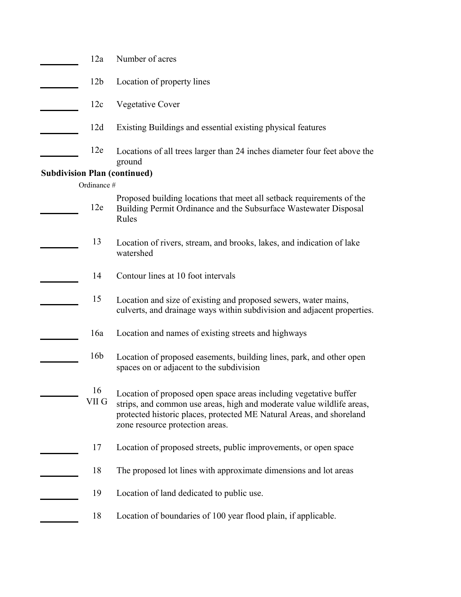| 12a             | Number of acres                                                                                                                                                                                                                                       |
|-----------------|-------------------------------------------------------------------------------------------------------------------------------------------------------------------------------------------------------------------------------------------------------|
| 12 <sub>b</sub> | Location of property lines                                                                                                                                                                                                                            |
| 12c             | Vegetative Cover                                                                                                                                                                                                                                      |
| 12d             | Existing Buildings and essential existing physical features                                                                                                                                                                                           |
| 12e             | Locations of all trees larger than 24 inches diameter four feet above the<br>ground                                                                                                                                                                   |
|                 | <b>Subdivision Plan (continued)</b>                                                                                                                                                                                                                   |
| Ordinance #     |                                                                                                                                                                                                                                                       |
| 12e             | Proposed building locations that meet all setback requirements of the<br>Building Permit Ordinance and the Subsurface Wastewater Disposal<br>Rules                                                                                                    |
| 13              | Location of rivers, stream, and brooks, lakes, and indication of lake<br>watershed                                                                                                                                                                    |
| 14              | Contour lines at 10 foot intervals                                                                                                                                                                                                                    |
| 15              | Location and size of existing and proposed sewers, water mains,<br>culverts, and drainage ways within subdivision and adjacent properties.                                                                                                            |
| 16a             | Location and names of existing streets and highways                                                                                                                                                                                                   |
| 16 <sub>b</sub> | Location of proposed easements, building lines, park, and other open<br>spaces on or adjacent to the subdivision                                                                                                                                      |
| 16<br>VII G     | Location of proposed open space areas including vegetative buffer<br>strips, and common use areas, high and moderate value wildlife areas,<br>protected historic places, protected ME Natural Areas, and shoreland<br>zone resource protection areas. |
| 17              | Location of proposed streets, public improvements, or open space                                                                                                                                                                                      |
| 18              | The proposed lot lines with approximate dimensions and lot areas                                                                                                                                                                                      |
| 19              | Location of land dedicated to public use.                                                                                                                                                                                                             |
| 18              | Location of boundaries of 100 year flood plain, if applicable.                                                                                                                                                                                        |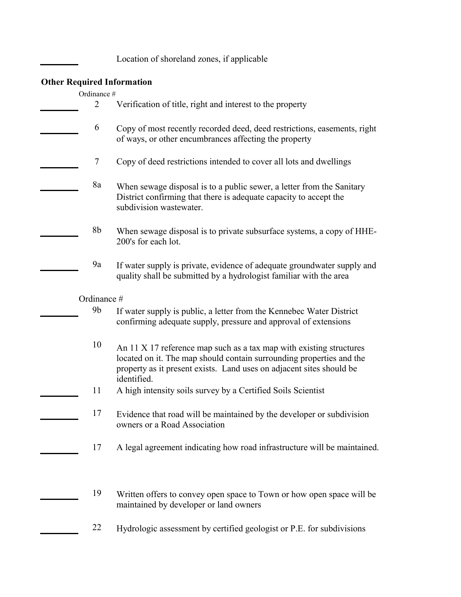Location of shoreland zones, if applicable

## **Other Required Information**

| Ordinance #    |                                                                                                                                                                                                                                    |
|----------------|------------------------------------------------------------------------------------------------------------------------------------------------------------------------------------------------------------------------------------|
| 2              | Verification of title, right and interest to the property                                                                                                                                                                          |
| 6              | Copy of most recently recorded deed, deed restrictions, easements, right<br>of ways, or other encumbrances affecting the property                                                                                                  |
| 7              | Copy of deed restrictions intended to cover all lots and dwellings                                                                                                                                                                 |
| 8a             | When sewage disposal is to a public sewer, a letter from the Sanitary<br>District confirming that there is adequate capacity to accept the<br>subdivision wastewater.                                                              |
| 8b             | When sewage disposal is to private subsurface systems, a copy of HHE-<br>200's for each lot.                                                                                                                                       |
| 9a             | If water supply is private, evidence of adequate groundwater supply and<br>quality shall be submitted by a hydrologist familiar with the area                                                                                      |
| Ordinance #    |                                                                                                                                                                                                                                    |
| 9 <sub>b</sub> | If water supply is public, a letter from the Kennebec Water District<br>confirming adequate supply, pressure and approval of extensions                                                                                            |
| 10             | An 11 X 17 reference map such as a tax map with existing structures<br>located on it. The map should contain surrounding properties and the<br>property as it present exists. Land uses on adjacent sites should be<br>identified. |
| 11             | A high intensity soils survey by a Certified Soils Scientist                                                                                                                                                                       |
| 17             | Evidence that road will be maintained by the developer or subdivision<br>owners or a Road Association                                                                                                                              |
| 17             | A legal agreement indicating how road infrastructure will be maintained.                                                                                                                                                           |
| 19             | Written offers to convey open space to Town or how open space will be<br>maintained by developer or land owners                                                                                                                    |
| 22             | Hydrologic assessment by certified geologist or P.E. for subdivisions                                                                                                                                                              |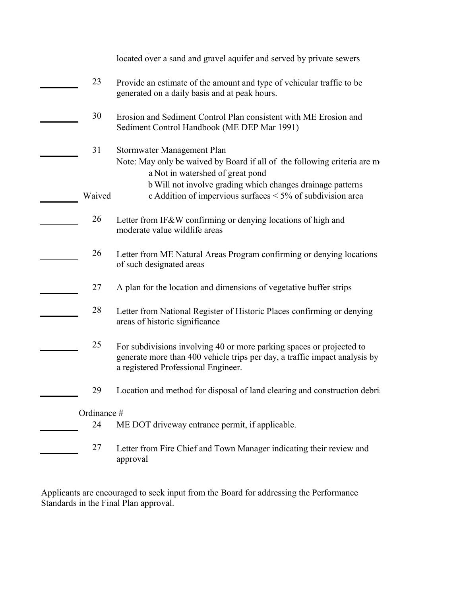|             | located over a sand and gravel aquifer and served by private sewers                                                                                                                       |
|-------------|-------------------------------------------------------------------------------------------------------------------------------------------------------------------------------------------|
| 23          | Provide an estimate of the amount and type of vehicular traffic to be<br>generated on a daily basis and at peak hours.                                                                    |
| 30          | Erosion and Sediment Control Plan consistent with ME Erosion and<br>Sediment Control Handbook (ME DEP Mar 1991)                                                                           |
| 31          | Stormwater Management Plan<br>Note: May only be waived by Board if all of the following criteria are m<br>a Not in watershed of great pond                                                |
| Waived      | b Will not involve grading which changes drainage patterns<br>c Addition of impervious surfaces < 5% of subdivision area                                                                  |
| 26          | Letter from IF&W confirming or denying locations of high and<br>moderate value wildlife areas                                                                                             |
| 26          | Letter from ME Natural Areas Program confirming or denying locations<br>of such designated areas                                                                                          |
| 27          | A plan for the location and dimensions of vegetative buffer strips                                                                                                                        |
| 28          | Letter from National Register of Historic Places confirming or denying<br>areas of historic significance                                                                                  |
| 25          | For subdivisions involving 40 or more parking spaces or projected to<br>generate more than 400 vehicle trips per day, a traffic impact analysis by<br>a registered Professional Engineer. |
| 29          | Location and method for disposal of land clearing and construction debri-                                                                                                                 |
| Ordinance # |                                                                                                                                                                                           |
| 24          | ME DOT driveway entrance permit, if applicable.                                                                                                                                           |
| 27          | Letter from Fire Chief and Town Manager indicating their review and<br>approval                                                                                                           |

Applicants are encouraged to seek input from the Board for addressing the Performance Standards in the Final Plan approval.